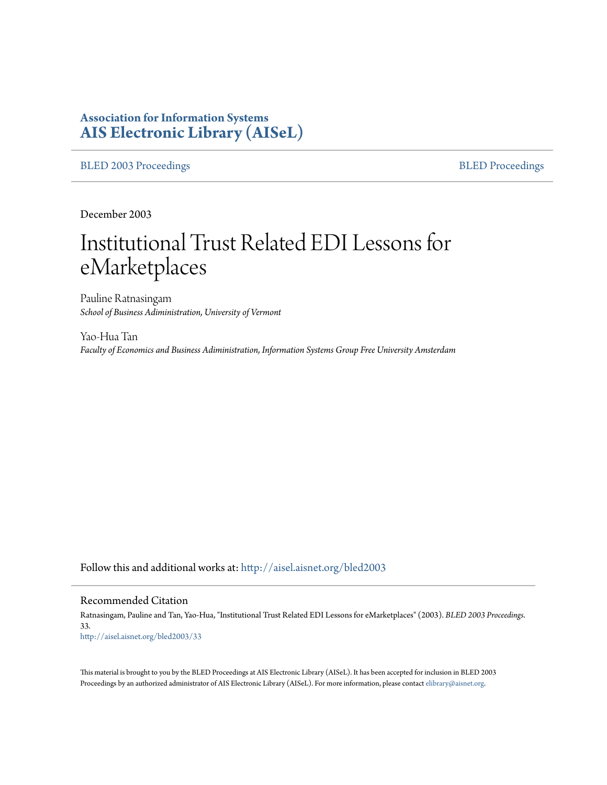# **Association for Information Systems [AIS Electronic Library \(AISeL\)](http://aisel.aisnet.org?utm_source=aisel.aisnet.org%2Fbled2003%2F33&utm_medium=PDF&utm_campaign=PDFCoverPages)**

#### [BLED 2003 Proceedings](http://aisel.aisnet.org/bled2003?utm_source=aisel.aisnet.org%2Fbled2003%2F33&utm_medium=PDF&utm_campaign=PDFCoverPages) **[BLED Proceedings](http://aisel.aisnet.org/bled?utm_source=aisel.aisnet.org%2Fbled2003%2F33&utm_medium=PDF&utm_campaign=PDFCoverPages)**

December 2003

# Institutional Trust Related EDI Lessons for eMarketplaces

Pauline Ratnasingam *School of Business Adiministration, University of Vermont*

Yao-Hua Tan *Faculty of Economics and Business Adiministration, Information Systems Group Free University Amsterdam*

Follow this and additional works at: [http://aisel.aisnet.org/bled2003](http://aisel.aisnet.org/bled2003?utm_source=aisel.aisnet.org%2Fbled2003%2F33&utm_medium=PDF&utm_campaign=PDFCoverPages)

#### Recommended Citation

Ratnasingam, Pauline and Tan, Yao-Hua, "Institutional Trust Related EDI Lessons for eMarketplaces" (2003). *BLED 2003 Proceedings*. 33. [http://aisel.aisnet.org/bled2003/33](http://aisel.aisnet.org/bled2003/33?utm_source=aisel.aisnet.org%2Fbled2003%2F33&utm_medium=PDF&utm_campaign=PDFCoverPages)

This material is brought to you by the BLED Proceedings at AIS Electronic Library (AISeL). It has been accepted for inclusion in BLED 2003 Proceedings by an authorized administrator of AIS Electronic Library (AISeL). For more information, please contact [elibrary@aisnet.org](mailto:elibrary@aisnet.org%3E).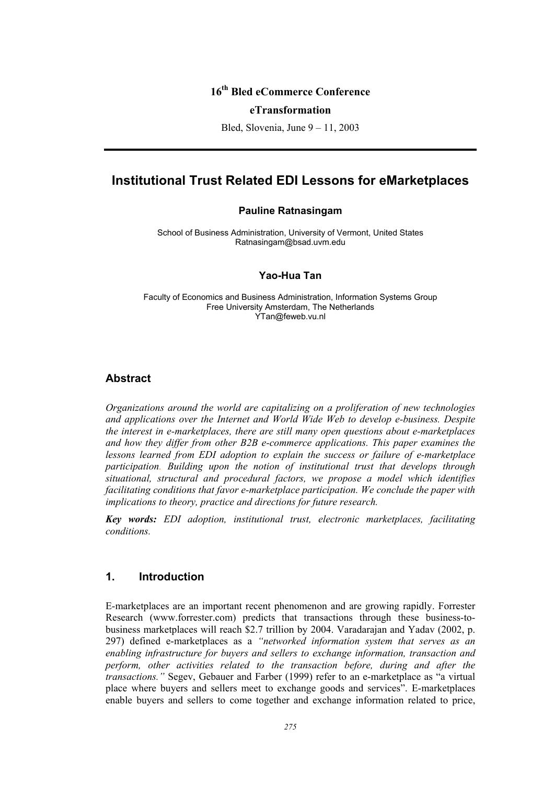# **16th Bled eCommerce Conference**

#### **eTransformation**

Bled, Slovenia, June 9 – 11, 2003

# **Institutional Trust Related EDI Lessons for eMarketplaces**

#### **Pauline Ratnasingam**

School of Business Administration, University of Vermont, United States Ratnasingam@bsad.uvm.edu

#### **Yao-Hua Tan**

Faculty of Economics and Business Administration, Information Systems Group Free University Amsterdam, The Netherlands YTan@feweb.vu.nl

## **Abstract**

*Organizations around the world are capitalizing on a proliferation of new technologies and applications over the Internet and World Wide Web to develop e-business. Despite the interest in e-marketplaces, there are still many open questions about e-marketplaces and how they differ from other B2B e-commerce applications. This paper examines the lessons learned from EDI adoption to explain the success or failure of e-marketplace participation. Building upon the notion of institutional trust that develops through situational, structural and procedural factors, we propose a model which identifies facilitating conditions that favor e-marketplace participation. We conclude the paper with implications to theory, practice and directions for future research.* 

*Key words: EDI adoption, institutional trust, electronic marketplaces, facilitating conditions.* 

## **1. Introduction**

E-marketplaces are an important recent phenomenon and are growing rapidly. Forrester Research (www.forrester.com) predicts that transactions through these business-tobusiness marketplaces will reach \$2.7 trillion by 2004. Varadarajan and Yadav (2002, p. 297) defined e-marketplaces as a *"networked information system that serves as an enabling infrastructure for buyers and sellers to exchange information, transaction and perform, other activities related to the transaction before, during and after the transactions."* Segev, Gebauer and Farber (1999) refer to an e-marketplace as "a virtual place where buyers and sellers meet to exchange goods and services". E-marketplaces enable buyers and sellers to come together and exchange information related to price,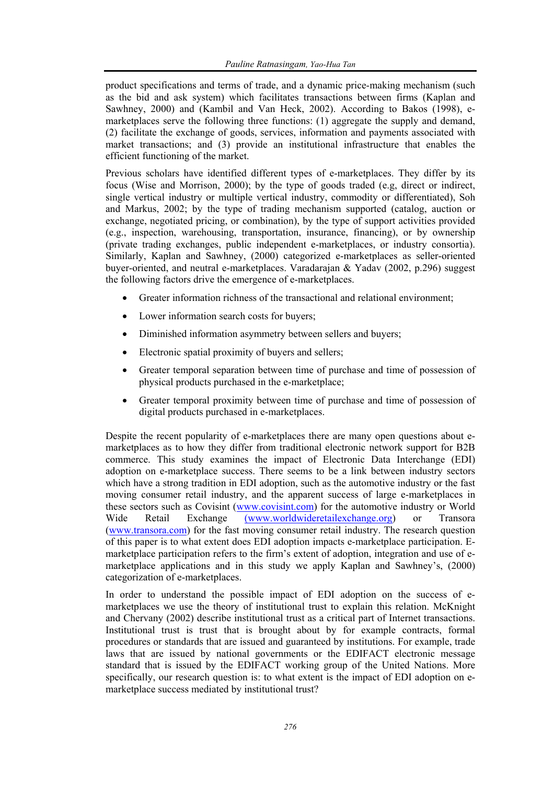product specifications and terms of trade, and a dynamic price-making mechanism (such as the bid and ask system) which facilitates transactions between firms (Kaplan and Sawhney, 2000) and (Kambil and Van Heck, 2002). According to Bakos (1998), emarketplaces serve the following three functions: (1) aggregate the supply and demand, (2) facilitate the exchange of goods, services, information and payments associated with market transactions; and (3) provide an institutional infrastructure that enables the efficient functioning of the market.

Previous scholars have identified different types of e-marketplaces. They differ by its focus (Wise and Morrison, 2000); by the type of goods traded (e.g, direct or indirect, single vertical industry or multiple vertical industry, commodity or differentiated), Soh and Markus, 2002; by the type of trading mechanism supported (catalog, auction or exchange, negotiated pricing, or combination), by the type of support activities provided (e.g., inspection, warehousing, transportation, insurance, financing), or by ownership (private trading exchanges, public independent e-marketplaces, or industry consortia). Similarly, Kaplan and Sawhney, (2000) categorized e-marketplaces as seller-oriented buyer-oriented, and neutral e-marketplaces. Varadarajan & Yadav (2002, p.296) suggest the following factors drive the emergence of e-marketplaces.

- Greater information richness of the transactional and relational environment;
- Lower information search costs for buyers;
- Diminished information asymmetry between sellers and buyers;
- Electronic spatial proximity of buyers and sellers;
- Greater temporal separation between time of purchase and time of possession of physical products purchased in the e-marketplace;
- Greater temporal proximity between time of purchase and time of possession of digital products purchased in e-marketplaces.

Despite the recent popularity of e-marketplaces there are many open questions about emarketplaces as to how they differ from traditional electronic network support for B2B commerce. This study examines the impact of Electronic Data Interchange (EDI) adoption on e-marketplace success. There seems to be a link between industry sectors which have a strong tradition in EDI adoption, such as the automotive industry or the fast moving consumer retail industry, and the apparent success of large e-marketplaces in these sectors such as Covisint (www.covisint.com) for the automotive industry or World Wide Retail Exchange (www.worldwideretailexchange.org) or Transora (www.transora.com) for the fast moving consumer retail industry. The research question of this paper is to what extent does EDI adoption impacts e-marketplace participation. Emarketplace participation refers to the firm's extent of adoption, integration and use of emarketplace applications and in this study we apply Kaplan and Sawhney's, (2000) categorization of e-marketplaces.

In order to understand the possible impact of EDI adoption on the success of emarketplaces we use the theory of institutional trust to explain this relation. McKnight and Chervany (2002) describe institutional trust as a critical part of Internet transactions. Institutional trust is trust that is brought about by for example contracts, formal procedures or standards that are issued and guaranteed by institutions. For example, trade laws that are issued by national governments or the EDIFACT electronic message standard that is issued by the EDIFACT working group of the United Nations. More specifically, our research question is: to what extent is the impact of EDI adoption on emarketplace success mediated by institutional trust?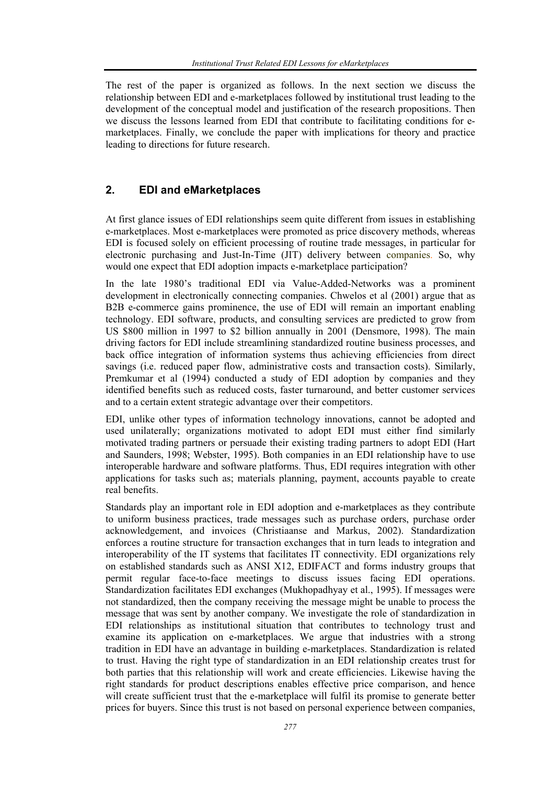The rest of the paper is organized as follows. In the next section we discuss the relationship between EDI and e-marketplaces followed by institutional trust leading to the development of the conceptual model and justification of the research propositions. Then we discuss the lessons learned from EDI that contribute to facilitating conditions for emarketplaces. Finally, we conclude the paper with implications for theory and practice leading to directions for future research.

# **2. EDI and eMarketplaces**

At first glance issues of EDI relationships seem quite different from issues in establishing e-marketplaces. Most e-marketplaces were promoted as price discovery methods, whereas EDI is focused solely on efficient processing of routine trade messages, in particular for electronic purchasing and Just-In-Time (JIT) delivery between companies. So, why would one expect that EDI adoption impacts e-marketplace participation?

In the late 1980's traditional EDI via Value-Added-Networks was a prominent development in electronically connecting companies. Chwelos et al (2001) argue that as B2B e-commerce gains prominence, the use of EDI will remain an important enabling technology. EDI software, products, and consulting services are predicted to grow from US \$800 million in 1997 to \$2 billion annually in 2001 (Densmore, 1998). The main driving factors for EDI include streamlining standardized routine business processes, and back office integration of information systems thus achieving efficiencies from direct savings (i.e. reduced paper flow, administrative costs and transaction costs). Similarly, Premkumar et al (1994) conducted a study of EDI adoption by companies and they identified benefits such as reduced costs, faster turnaround, and better customer services and to a certain extent strategic advantage over their competitors.

EDI, unlike other types of information technology innovations, cannot be adopted and used unilaterally; organizations motivated to adopt EDI must either find similarly motivated trading partners or persuade their existing trading partners to adopt EDI (Hart and Saunders, 1998; Webster, 1995). Both companies in an EDI relationship have to use interoperable hardware and software platforms. Thus, EDI requires integration with other applications for tasks such as; materials planning, payment, accounts payable to create real benefits.

Standards play an important role in EDI adoption and e-marketplaces as they contribute to uniform business practices, trade messages such as purchase orders, purchase order acknowledgement, and invoices (Christiaanse and Markus, 2002). Standardization enforces a routine structure for transaction exchanges that in turn leads to integration and interoperability of the IT systems that facilitates IT connectivity. EDI organizations rely on established standards such as ANSI X12, EDIFACT and forms industry groups that permit regular face-to-face meetings to discuss issues facing EDI operations. Standardization facilitates EDI exchanges (Mukhopadhyay et al., 1995). If messages were not standardized, then the company receiving the message might be unable to process the message that was sent by another company. We investigate the role of standardization in EDI relationships as institutional situation that contributes to technology trust and examine its application on e-marketplaces. We argue that industries with a strong tradition in EDI have an advantage in building e-marketplaces. Standardization is related to trust. Having the right type of standardization in an EDI relationship creates trust for both parties that this relationship will work and create efficiencies. Likewise having the right standards for product descriptions enables effective price comparison, and hence will create sufficient trust that the e-marketplace will fulfil its promise to generate better prices for buyers. Since this trust is not based on personal experience between companies,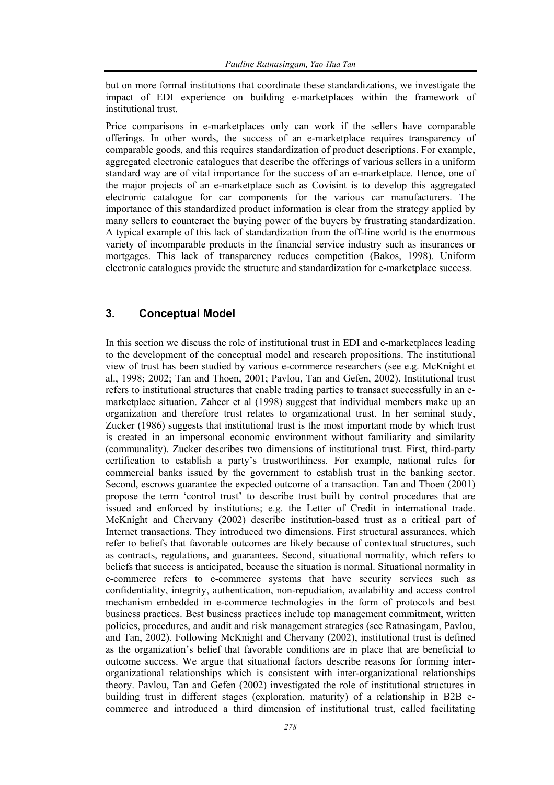but on more formal institutions that coordinate these standardizations, we investigate the impact of EDI experience on building e-marketplaces within the framework of institutional trust.

Price comparisons in e-marketplaces only can work if the sellers have comparable offerings. In other words, the success of an e-marketplace requires transparency of comparable goods, and this requires standardization of product descriptions. For example, aggregated electronic catalogues that describe the offerings of various sellers in a uniform standard way are of vital importance for the success of an e-marketplace. Hence, one of the major projects of an e-marketplace such as Covisint is to develop this aggregated electronic catalogue for car components for the various car manufacturers. The importance of this standardized product information is clear from the strategy applied by many sellers to counteract the buying power of the buyers by frustrating standardization. A typical example of this lack of standardization from the off-line world is the enormous variety of incomparable products in the financial service industry such as insurances or mortgages. This lack of transparency reduces competition (Bakos, 1998). Uniform electronic catalogues provide the structure and standardization for e-marketplace success.

# **3. Conceptual Model**

In this section we discuss the role of institutional trust in EDI and e-marketplaces leading to the development of the conceptual model and research propositions. The institutional view of trust has been studied by various e-commerce researchers (see e.g. McKnight et al., 1998; 2002; Tan and Thoen, 2001; Pavlou, Tan and Gefen, 2002). Institutional trust refers to institutional structures that enable trading parties to transact successfully in an emarketplace situation. Zaheer et al (1998) suggest that individual members make up an organization and therefore trust relates to organizational trust. In her seminal study, Zucker (1986) suggests that institutional trust is the most important mode by which trust is created in an impersonal economic environment without familiarity and similarity (communality). Zucker describes two dimensions of institutional trust. First, third-party certification to establish a party's trustworthiness. For example, national rules for commercial banks issued by the government to establish trust in the banking sector. Second, escrows guarantee the expected outcome of a transaction. Tan and Thoen (2001) propose the term 'control trust' to describe trust built by control procedures that are issued and enforced by institutions; e.g. the Letter of Credit in international trade. McKnight and Chervany (2002) describe institution-based trust as a critical part of Internet transactions. They introduced two dimensions. First structural assurances, which refer to beliefs that favorable outcomes are likely because of contextual structures, such as contracts, regulations, and guarantees. Second, situational normality, which refers to beliefs that success is anticipated, because the situation is normal. Situational normality in e-commerce refers to e-commerce systems that have security services such as confidentiality, integrity, authentication, non-repudiation, availability and access control mechanism embedded in e-commerce technologies in the form of protocols and best business practices. Best business practices include top management commitment, written policies, procedures, and audit and risk management strategies (see Ratnasingam, Pavlou, and Tan, 2002). Following McKnight and Chervany (2002), institutional trust is defined as the organization's belief that favorable conditions are in place that are beneficial to outcome success. We argue that situational factors describe reasons for forming interorganizational relationships which is consistent with inter-organizational relationships theory. Pavlou, Tan and Gefen (2002) investigated the role of institutional structures in building trust in different stages (exploration, maturity) of a relationship in B2B ecommerce and introduced a third dimension of institutional trust, called facilitating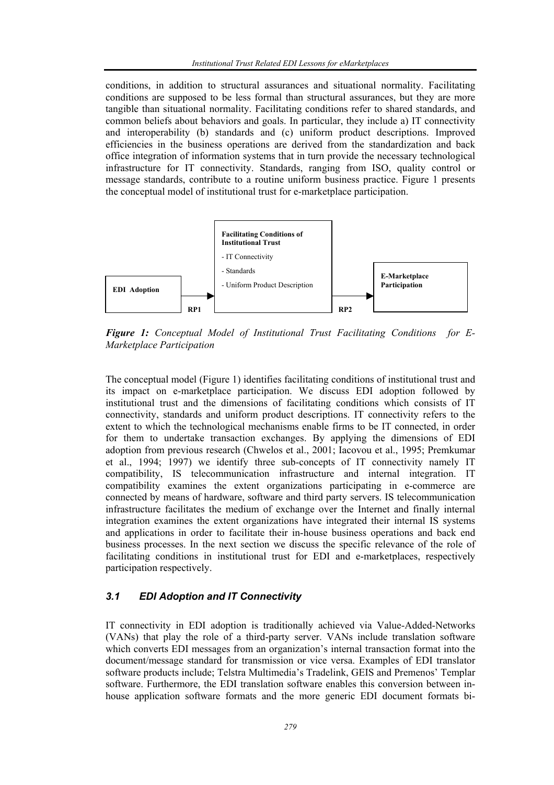conditions, in addition to structural assurances and situational normality. Facilitating conditions are supposed to be less formal than structural assurances, but they are more tangible than situational normality. Facilitating conditions refer to shared standards, and common beliefs about behaviors and goals. In particular, they include a) IT connectivity and interoperability (b) standards and (c) uniform product descriptions. Improved efficiencies in the business operations are derived from the standardization and back office integration of information systems that in turn provide the necessary technological infrastructure for IT connectivity. Standards, ranging from ISO, quality control or message standards, contribute to a routine uniform business practice. Figure 1 presents the conceptual model of institutional trust for e-marketplace participation.



*Figure 1: Conceptual Model of Institutional Trust Facilitating Conditions for E-Marketplace Participation* 

The conceptual model (Figure 1) identifies facilitating conditions of institutional trust and its impact on e-marketplace participation. We discuss EDI adoption followed by institutional trust and the dimensions of facilitating conditions which consists of IT connectivity, standards and uniform product descriptions. IT connectivity refers to the extent to which the technological mechanisms enable firms to be IT connected, in order for them to undertake transaction exchanges. By applying the dimensions of EDI adoption from previous research (Chwelos et al., 2001; Iacovou et al., 1995; Premkumar et al., 1994; 1997) we identify three sub-concepts of IT connectivity namely IT compatibility, IS telecommunication infrastructure and internal integration. IT compatibility examines the extent organizations participating in e-commerce are connected by means of hardware, software and third party servers. IS telecommunication infrastructure facilitates the medium of exchange over the Internet and finally internal integration examines the extent organizations have integrated their internal IS systems and applications in order to facilitate their in-house business operations and back end business processes. In the next section we discuss the specific relevance of the role of facilitating conditions in institutional trust for EDI and e-marketplaces, respectively participation respectively.

# *3.1 EDI Adoption and IT Connectivity*

IT connectivity in EDI adoption is traditionally achieved via Value-Added-Networks (VANs) that play the role of a third-party server. VANs include translation software which converts EDI messages from an organization's internal transaction format into the document/message standard for transmission or vice versa. Examples of EDI translator software products include; Telstra Multimedia's Tradelink, GEIS and Premenos' Templar software. Furthermore, the EDI translation software enables this conversion between inhouse application software formats and the more generic EDI document formats bi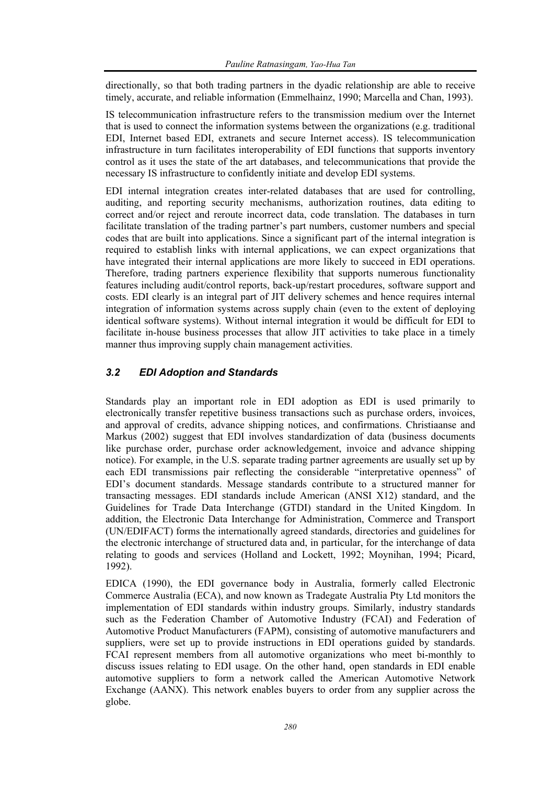directionally, so that both trading partners in the dyadic relationship are able to receive timely, accurate, and reliable information (Emmelhainz, 1990; Marcella and Chan, 1993).

IS telecommunication infrastructure refers to the transmission medium over the Internet that is used to connect the information systems between the organizations (e.g. traditional EDI, Internet based EDI, extranets and secure Internet access). IS telecommunication infrastructure in turn facilitates interoperability of EDI functions that supports inventory control as it uses the state of the art databases, and telecommunications that provide the necessary IS infrastructure to confidently initiate and develop EDI systems.

EDI internal integration creates inter-related databases that are used for controlling, auditing, and reporting security mechanisms, authorization routines, data editing to correct and/or reject and reroute incorrect data, code translation. The databases in turn facilitate translation of the trading partner's part numbers, customer numbers and special codes that are built into applications. Since a significant part of the internal integration is required to establish links with internal applications, we can expect organizations that have integrated their internal applications are more likely to succeed in EDI operations. Therefore, trading partners experience flexibility that supports numerous functionality features including audit/control reports, back-up/restart procedures, software support and costs. EDI clearly is an integral part of JIT delivery schemes and hence requires internal integration of information systems across supply chain (even to the extent of deploying identical software systems). Without internal integration it would be difficult for EDI to facilitate in-house business processes that allow JIT activities to take place in a timely manner thus improving supply chain management activities.

## *3.2 EDI Adoption and Standards*

Standards play an important role in EDI adoption as EDI is used primarily to electronically transfer repetitive business transactions such as purchase orders, invoices, and approval of credits, advance shipping notices, and confirmations. Christiaanse and Markus (2002) suggest that EDI involves standardization of data (business documents like purchase order, purchase order acknowledgement, invoice and advance shipping notice). For example, in the U.S. separate trading partner agreements are usually set up by each EDI transmissions pair reflecting the considerable "interpretative openness" of EDI's document standards. Message standards contribute to a structured manner for transacting messages. EDI standards include American (ANSI X12) standard, and the Guidelines for Trade Data Interchange (GTDI) standard in the United Kingdom. In addition, the Electronic Data Interchange for Administration, Commerce and Transport (UN/EDIFACT) forms the internationally agreed standards, directories and guidelines for the electronic interchange of structured data and, in particular, for the interchange of data relating to goods and services (Holland and Lockett, 1992; Moynihan, 1994; Picard, 1992).

EDICA (1990), the EDI governance body in Australia, formerly called Electronic Commerce Australia (ECA), and now known as Tradegate Australia Pty Ltd monitors the implementation of EDI standards within industry groups. Similarly, industry standards such as the Federation Chamber of Automotive Industry (FCAI) and Federation of Automotive Product Manufacturers (FAPM), consisting of automotive manufacturers and suppliers, were set up to provide instructions in EDI operations guided by standards. FCAI represent members from all automotive organizations who meet bi-monthly to discuss issues relating to EDI usage. On the other hand, open standards in EDI enable automotive suppliers to form a network called the American Automotive Network Exchange (AANX). This network enables buyers to order from any supplier across the globe.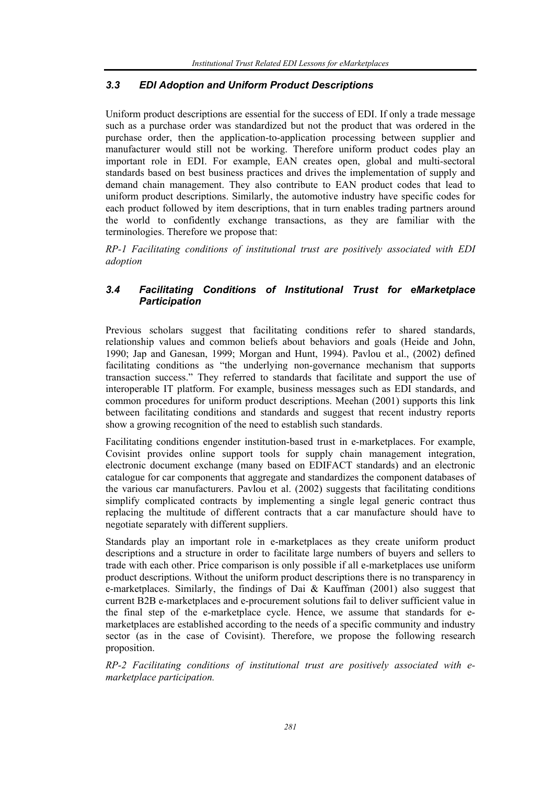## *3.3 EDI Adoption and Uniform Product Descriptions*

Uniform product descriptions are essential for the success of EDI. If only a trade message such as a purchase order was standardized but not the product that was ordered in the purchase order, then the application-to-application processing between supplier and manufacturer would still not be working. Therefore uniform product codes play an important role in EDI. For example, EAN creates open, global and multi-sectoral standards based on best business practices and drives the implementation of supply and demand chain management. They also contribute to EAN product codes that lead to uniform product descriptions. Similarly, the automotive industry have specific codes for each product followed by item descriptions, that in turn enables trading partners around the world to confidently exchange transactions, as they are familiar with the terminologies. Therefore we propose that:

*RP-1 Facilitating conditions of institutional trust are positively associated with EDI adoption*

## *3.4 Facilitating Conditions of Institutional Trust for eMarketplace Participation*

Previous scholars suggest that facilitating conditions refer to shared standards, relationship values and common beliefs about behaviors and goals (Heide and John, 1990; Jap and Ganesan, 1999; Morgan and Hunt, 1994). Pavlou et al., (2002) defined facilitating conditions as "the underlying non-governance mechanism that supports transaction success." They referred to standards that facilitate and support the use of interoperable IT platform. For example, business messages such as EDI standards, and common procedures for uniform product descriptions. Meehan (2001) supports this link between facilitating conditions and standards and suggest that recent industry reports show a growing recognition of the need to establish such standards.

Facilitating conditions engender institution-based trust in e-marketplaces. For example, Covisint provides online support tools for supply chain management integration, electronic document exchange (many based on EDIFACT standards) and an electronic catalogue for car components that aggregate and standardizes the component databases of the various car manufacturers. Pavlou et al. (2002) suggests that facilitating conditions simplify complicated contracts by implementing a single legal generic contract thus replacing the multitude of different contracts that a car manufacture should have to negotiate separately with different suppliers.

Standards play an important role in e-marketplaces as they create uniform product descriptions and a structure in order to facilitate large numbers of buyers and sellers to trade with each other. Price comparison is only possible if all e-marketplaces use uniform product descriptions. Without the uniform product descriptions there is no transparency in e-marketplaces. Similarly, the findings of Dai & Kauffman (2001) also suggest that current B2B e-marketplaces and e-procurement solutions fail to deliver sufficient value in the final step of the e-marketplace cycle. Hence, we assume that standards for emarketplaces are established according to the needs of a specific community and industry sector (as in the case of Covisint). Therefore, we propose the following research proposition.

*RP-2 Facilitating conditions of institutional trust are positively associated with emarketplace participation.*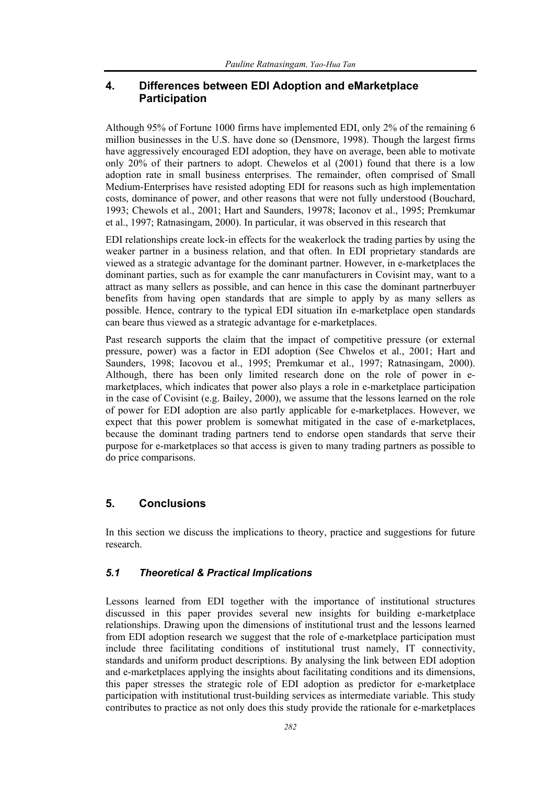# **4. Differences between EDI Adoption and eMarketplace Participation**

Although 95% of Fortune 1000 firms have implemented EDI, only 2% of the remaining 6 million businesses in the U.S. have done so (Densmore, 1998). Though the largest firms have aggressively encouraged EDI adoption, they have on average, been able to motivate only 20% of their partners to adopt. Chewelos et al (2001) found that there is a low adoption rate in small business enterprises. The remainder, often comprised of Small Medium-Enterprises have resisted adopting EDI for reasons such as high implementation costs, dominance of power, and other reasons that were not fully understood (Bouchard, 1993; Chewols et al., 2001; Hart and Saunders, 19978; Iaconov et al., 1995; Premkumar et al., 1997; Ratnasingam, 2000). In particular, it was observed in this research that

EDI relationships create lock-in effects for the weakerlock the trading parties by using the weaker partner in a business relation, and that often. In EDI proprietary standards are viewed as a strategic advantage for the dominant partner. However, in e-marketplaces the dominant parties, such as for example the canr manufacturers in Covisint may, want to a attract as many sellers as possible, and can hence in this case the dominant partnerbuyer benefits from having open standards that are simple to apply by as many sellers as possible. Hence, contrary to the typical EDI situation iIn e-marketplace open standards can beare thus viewed as a strategic advantage for e-marketplaces.

Past research supports the claim that the impact of competitive pressure (or external pressure, power) was a factor in EDI adoption (See Chwelos et al., 2001; Hart and Saunders, 1998; Iacovou et al., 1995; Premkumar et al., 1997; Ratnasingam, 2000). Although, there has been only limited research done on the role of power in emarketplaces, which indicates that power also plays a role in e-marketplace participation in the case of Covisint (e.g. Bailey, 2000), we assume that the lessons learned on the role of power for EDI adoption are also partly applicable for e-marketplaces. However, we expect that this power problem is somewhat mitigated in the case of e-marketplaces, because the dominant trading partners tend to endorse open standards that serve their purpose for e-marketplaces so that access is given to many trading partners as possible to do price comparisons.

# **5. Conclusions**

In this section we discuss the implications to theory, practice and suggestions for future research.

### *5.1 Theoretical & Practical Implications*

Lessons learned from EDI together with the importance of institutional structures discussed in this paper provides several new insights for building e-marketplace relationships. Drawing upon the dimensions of institutional trust and the lessons learned from EDI adoption research we suggest that the role of e-marketplace participation must include three facilitating conditions of institutional trust namely, IT connectivity, standards and uniform product descriptions. By analysing the link between EDI adoption and e-marketplaces applying the insights about facilitating conditions and its dimensions, this paper stresses the strategic role of EDI adoption as predictor for e-marketplace participation with institutional trust-building services as intermediate variable. This study contributes to practice as not only does this study provide the rationale for e-marketplaces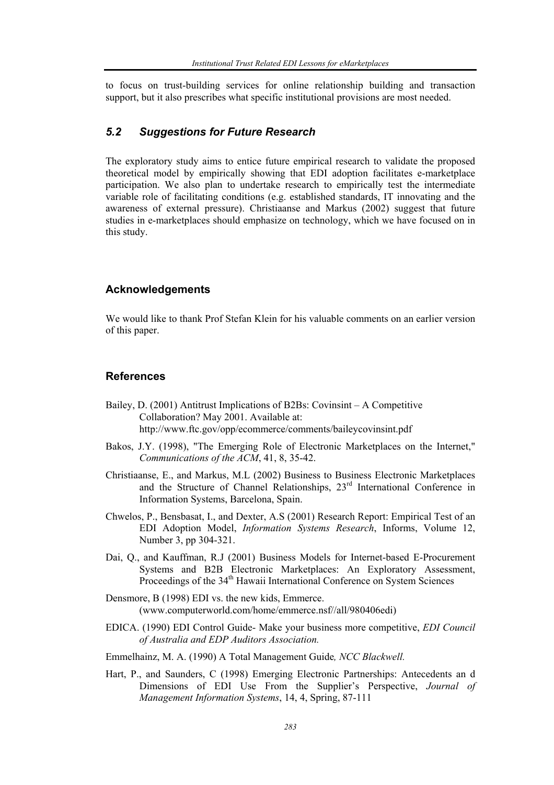to focus on trust-building services for online relationship building and transaction support, but it also prescribes what specific institutional provisions are most needed.

#### *5.2 Suggestions for Future Research*

The exploratory study aims to entice future empirical research to validate the proposed theoretical model by empirically showing that EDI adoption facilitates e-marketplace participation. We also plan to undertake research to empirically test the intermediate variable role of facilitating conditions (e.g. established standards, IT innovating and the awareness of external pressure). Christiaanse and Markus (2002) suggest that future studies in e-marketplaces should emphasize on technology, which we have focused on in this study.

#### **Acknowledgements**

We would like to thank Prof Stefan Klein for his valuable comments on an earlier version of this paper.

#### **References**

- Bailey, D. (2001) Antitrust Implications of B2Bs: Covinsint A Competitive Collaboration? May 2001. Available at: http://www.ftc.gov/opp/ecommerce/comments/baileycovinsint.pdf
- Bakos, J.Y. (1998), "The Emerging Role of Electronic Marketplaces on the Internet," *Communications of the ACM*, 41, 8, 35-42.
- Christiaanse, E., and Markus, M.L (2002) Business to Business Electronic Marketplaces and the Structure of Channel Relationships, 23rd International Conference in Information Systems, Barcelona, Spain.
- Chwelos, P., Bensbasat, I., and Dexter, A.S (2001) Research Report: Empirical Test of an EDI Adoption Model, *Information Systems Research*, Informs, Volume 12, Number 3, pp 304-321.
- Dai, Q., and Kauffman, R.J (2001) Business Models for Internet-based E-Procurement Systems and B2B Electronic Marketplaces: An Exploratory Assessment, Proceedings of the 34<sup>th</sup> Hawaii International Conference on System Sciences
- Densmore, B (1998) EDI vs. the new kids, Emmerce. (www.computerworld.com/home/emmerce.nsf//all/980406edi)
- EDICA. (1990) EDI Control Guide- Make your business more competitive, *EDI Council of Australia and EDP Auditors Association.*
- Emmelhainz, M. A. (1990) A Total Management Guide*, NCC Blackwell.*
- Hart, P., and Saunders, C (1998) Emerging Electronic Partnerships: Antecedents an d Dimensions of EDI Use From the Supplier's Perspective, *Journal of Management Information Systems*, 14, 4, Spring, 87-111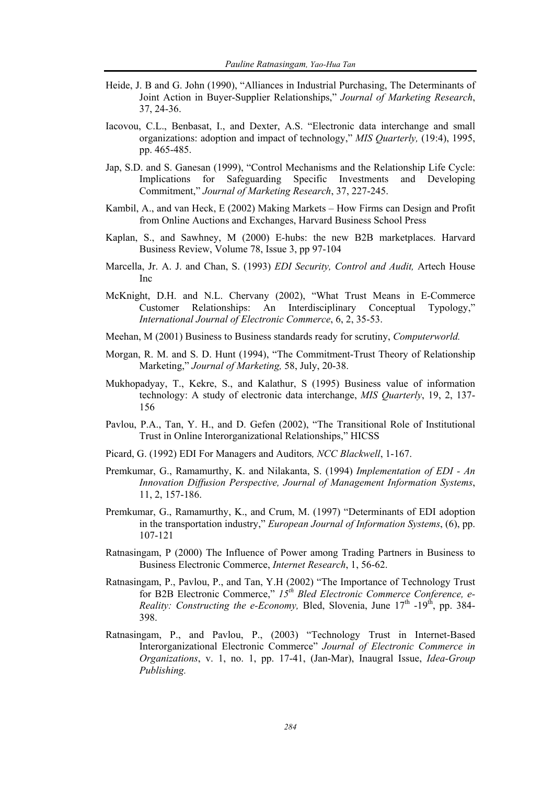- Heide, J. B and G. John (1990), "Alliances in Industrial Purchasing, The Determinants of Joint Action in Buyer-Supplier Relationships," *Journal of Marketing Research*, 37, 24-36.
- Iacovou, C.L., Benbasat, I., and Dexter, A.S. "Electronic data interchange and small organizations: adoption and impact of technology," *MIS Quarterly,* (19:4), 1995, pp. 465-485.
- Jap, S.D. and S. Ganesan (1999), "Control Mechanisms and the Relationship Life Cycle: Implications for Safeguarding Specific Investments and Developing Commitment," *Journal of Marketing Research*, 37, 227-245.
- Kambil, A., and van Heck, E (2002) Making Markets How Firms can Design and Profit from Online Auctions and Exchanges, Harvard Business School Press
- Kaplan, S., and Sawhney, M (2000) E-hubs: the new B2B marketplaces. Harvard Business Review, Volume 78, Issue 3, pp 97-104
- Marcella, Jr. A. J. and Chan, S. (1993) *EDI Security, Control and Audit,* Artech House Inc
- McKnight, D.H. and N.L. Chervany (2002), "What Trust Means in E-Commerce Customer Relationships: An Interdisciplinary Conceptual Typology," *International Journal of Electronic Commerce*, 6, 2, 35-53.
- Meehan, M (2001) Business to Business standards ready for scrutiny, *Computerworld.*
- Morgan, R. M. and S. D. Hunt (1994), "The Commitment-Trust Theory of Relationship Marketing," *Journal of Marketing,* 58, July, 20-38.
- Mukhopadyay, T., Kekre, S., and Kalathur, S (1995) Business value of information technology: A study of electronic data interchange, *MIS Quarterly*, 19, 2, 137- 156
- Pavlou, P.A., Tan, Y. H., and D. Gefen (2002), "The Transitional Role of Institutional Trust in Online Interorganizational Relationships," HICSS
- Picard, G. (1992) EDI For Managers and Auditors*, NCC Blackwell*, 1-167.
- Premkumar, G., Ramamurthy, K. and Nilakanta, S. (1994) *Implementation of EDI An Innovation Diffusion Perspective, Journal of Management Information Systems*, 11, 2, 157-186.
- Premkumar, G., Ramamurthy, K., and Crum, M. (1997) "Determinants of EDI adoption in the transportation industry," *European Journal of Information Systems*, (6), pp. 107-121
- Ratnasingam, P (2000) The Influence of Power among Trading Partners in Business to Business Electronic Commerce, *Internet Research*, 1, 56-62.
- Ratnasingam, P., Pavlou, P., and Tan, Y.H (2002) "The Importance of Technology Trust for B2B Electronic Commerce," *15th Bled Electronic Commerce Conference, e-Reality: Constructing the e-Economy, Bled, Slovenia, June*  $17<sup>th</sup>$  *-19<sup>th</sup>, pp. 384-*398.
- Ratnasingam, P., and Pavlou, P., (2003) "Technology Trust in Internet-Based Interorganizational Electronic Commerce" *Journal of Electronic Commerce in Organizations*, v. 1, no. 1, pp. 17-41, (Jan-Mar), Inaugral Issue, *Idea-Group Publishing.*